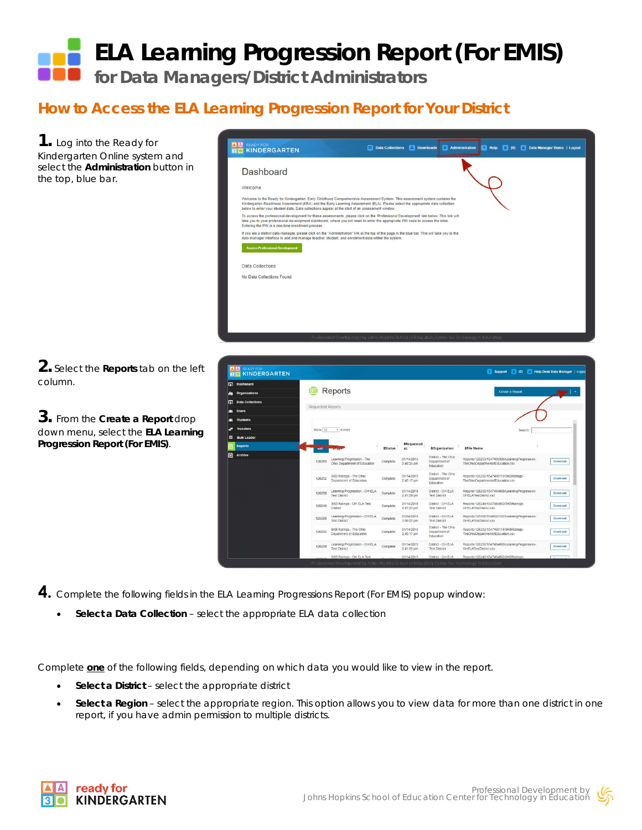## **ELA Learning Progression Report (For EMIS) for Data Managers/District Administrators**

## **How to Access the ELA Learning Progression Report for Your District**

**1.** Log into the Ready for Kindergarten Online system and select the **Administration** button in the top, blue bar.



**2.** Select the **Reports** tab on the left column.

**3.** From the **Create a Report** drop down menu, select the **ELA Learning Progression Report (For EMIS)**.



**4.** Complete the following fields in the ELA Learning Progressions Report (For EMIS) popup window:

• **Select a Data Collection** – select the appropriate ELA data collection

Complete **one** of the following fields, depending on which data you would like to view in the report.

- **Select a District** select the appropriate district
- **Select a Region** select the appropriate region. This option allows you to view data for more than one district in one report, if you have admin permission to multiple districts.